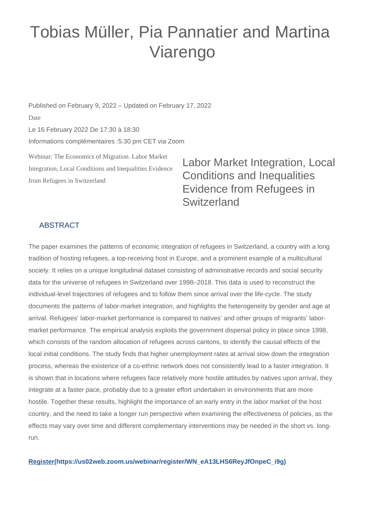## Tobias Müller, Pia Pannatier and Martina Viarengo

Webinar: The Economics of Migration. Labor Market Published on February 9, 2022 – Updated on February 17, 2022 Date Le 16 February 2022 De 17:30 à 18:30 Informations complémentaires :5.30 pm CET via Zoom

Integration, Local Conditions and Inequalities Evidence from Refugees in Switzerland

Labor Market Integration, Local Conditions and Inequalities Evidence from Refugees in **Switzerland** 

## **ABSTRACT**

The paper examines the patterns of economic integration of refugees in Switzerland, a country with a long tradition of hosting refugees, a top-receiving host in Europe, and a prominent example of a multicultural society. It relies on a unique longitudinal dataset consisting of administrative records and social security data for the universe of refugees in Switzerland over 1998–2018. This data is used to reconstruct the individual-level trajectories of refugees and to follow them since arrival over the life-cycle. The study documents the patterns of labor-market integration, and highlights the heterogeneity by gender and age at arrival. Refugees' labor-market performance is compared to natives' and other groups of migrants' labormarket performance. The empirical analysis exploits the government dispersal policy in place since 1998, which consists of the random allocation of refugees across cantons, to identify the causal effects of the local initial conditions. The study finds that higher unemployment rates at arrival slow down the integration process, whereas the existence of a co-ethnic network does not consistently lead to a faster integration. It is shown that in locations where refugees face relatively more hostile attitudes by natives upon arrival, they integrate at a faster pace, probably due to a greater effort undertaken in environments that are more hostile. Together these results, highlight the importance of an early entry in the labor market of the host country, and the need to take a longer run perspective when examining the effectiveness of policies, as the effects may vary over time and different complementary interventions may be needed in the short vs. longrun.

**[Register\(https://us02web.zoom.us/webinar/register/WN\\_eA13LHS6ReyJfOnpeC\\_i9g\)](https://us02web.zoom.us/webinar/register/WN_eA13LHS6ReyJfOnpeC_i9g)**